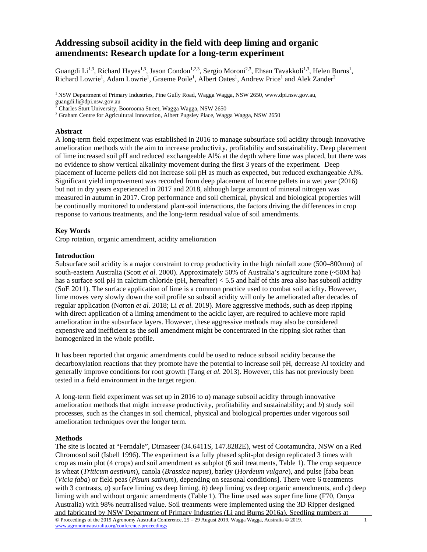# **Addressing subsoil acidity in the field with deep liming and organic amendments: Research update for a long-term experiment**

Guangdi Li<sup>1,3</sup>, Richard Hayes<sup>1,3</sup>, Jason Condon<sup>1,2,3</sup>, Sergio Moroni<sup>2,3</sup>, Ehsan Tavakkoli<sup>1,3</sup>, Helen Burns<sup>1</sup>, Richard Lowrie<sup>1</sup>, Adam Lowrie<sup>1</sup>, Graeme Poile<sup>1</sup>, Albert Oates<sup>1</sup>, Andrew Price<sup>1</sup> and Alek Zander<sup>2</sup>

<sup>1</sup> NSW Department of Primary Industries, Pine Gully Road, Wagga Wagga, NSW 2650, www.dpi.nsw.gov.au, guangdi.li@dpi.nsw.gov.au

2 Charles Sturt University, Boorooma Street, Wagga Wagga, NSW 2650

<sup>3</sup> Graham Centre for Agricultural Innovation, Albert Pugsley Place, Wagga Wagga, NSW 2650

# **Abstract**

A long-term field experiment was established in 2016 to manage subsurface soil acidity through innovative amelioration methods with the aim to increase productivity, profitability and sustainability. Deep placement of lime increased soil pH and reduced exchangeable Al% at the depth where lime was placed, but there was no evidence to show vertical alkalinity movement during the first 3 years of the experiment. Deep placement of lucerne pellets did not increase soil pH as much as expected, but reduced exchangeable Al%. Significant yield improvement was recorded from deep placement of lucerne pellets in a wet year (2016) but not in dry years experienced in 2017 and 2018, although large amount of mineral nitrogen was measured in autumn in 2017. Crop performance and soil chemical, physical and biological properties will be continually monitored to understand plant-soil interactions, the factors driving the differences in crop response to various treatments, and the long-term residual value of soil amendments.

# **Key Words**

Crop rotation, organic amendment, acidity amelioration

# **Introduction**

Subsurface soil acidity is a major constraint to crop productivity in the high rainfall zone (500–800mm) of south-eastern Australia (Scott *et al.* 2000). Approximately 50% of Australia's agriculture zone (~50M ha) has a surface soil pH in calcium chloride (pH, hereafter) < 5.5 and half of this area also has subsoil acidity (SoE 2011). The surface application of lime is a common practice used to combat soil acidity. However, lime moves very slowly down the soil profile so subsoil acidity will only be ameliorated after decades of regular application (Norton *et al.* 2018; Li *et al.* 2019). More aggressive methods, such as deep ripping with direct application of a liming amendment to the acidic layer, are required to achieve more rapid amelioration in the subsurface layers. However, these aggressive methods may also be considered expensive and inefficient as the soil amendment might be concentrated in the ripping slot rather than homogenized in the whole profile.

It has been reported that organic amendments could be used to reduce subsoil acidity because the decarboxylation reactions that they promote have the potential to increase soil pH, decrease Al toxicity and generally improve conditions for root growth (Tang *et al.* 2013). However, this has not previously been tested in a field environment in the target region.

A long-term field experiment was set up in 2016 to *a*) manage subsoil acidity through innovative amelioration methods that might increase productivity, profitability and sustainability; and *b*) study soil processes, such as the changes in soil chemical, physical and biological properties under vigorous soil amelioration techniques over the longer term.

# **Methods**

© Proceedings of the 2019 Agronomy Australia Conference, 25 – 29 August 2019, Wagga Wagga, Australia © 2019. www.agronomyaustralia.org/conference-proceedings 1 The site is located at "Ferndale", Dirnaseer (34.6411S, 147.8282E), west of Cootamundra, NSW on a Red Chromosol soil (Isbell 1996). The experiment is a fully phased split-plot design replicated 3 times with crop as main plot (4 crops) and soil amendment as subplot (6 soil treatments, Table 1). The crop sequence is wheat (*Triticum aestivum*), canola (*Brassica napus*), barley (*Hordeum vulgare*), and pulse [faba bean (*Vicia faba*) or field peas (*Pisum sativum*), depending on seasonal conditions]. There were 6 treatments with 3 contrasts, *a*) surface liming vs deep liming, *b*) deep liming vs deep organic amendments, and *c*) deep liming with and without organic amendments (Table 1). The lime used was super fine lime (F70, Omya Australia) with 98% neutralised value. Soil treatments were implemented using the 3D Ripper designed and fabricated by NSW Department of Primary Industries (Li and Burns 2016a). Seedling numbers at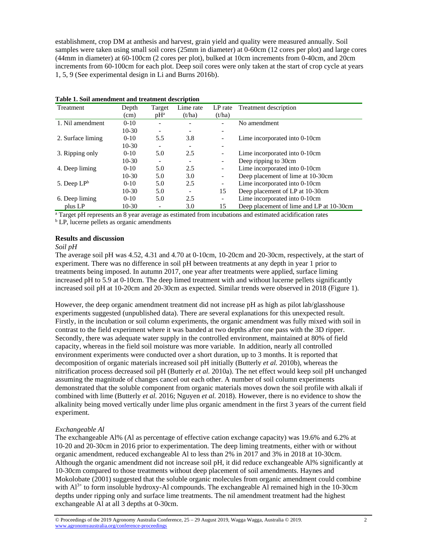establishment, crop DM at anthesis and harvest, grain yield and quality were measured annually. Soil samples were taken using small soil cores (25mm in diameter) at 0-60cm (12 cores per plot) and large cores (44mm in diameter) at 60-100cm (2 cores per plot), bulked at 10cm increments from 0-40cm, and 20cm increments from 60-100cm for each plot. Deep soil cores were only taken at the start of crop cycle at years 1, 5, 9 (See experimental design in Li and Burns 2016b).

| Treatment         | Depth    | Target | Lime rate | LP rate                  | Treatment description                    |
|-------------------|----------|--------|-----------|--------------------------|------------------------------------------|
|                   | (cm)     | $pH^a$ | (t/ha)    | (t/ha)                   |                                          |
| 1. Nil amendment  | $0-10$   |        |           |                          | No amendment                             |
|                   | $10-30$  |        |           |                          |                                          |
| 2. Surface liming | $0 - 10$ | 5.5    | 3.8       |                          | Lime incorporated into 0-10cm            |
|                   | $10-30$  |        |           | -                        |                                          |
| 3. Ripping only   | $0 - 10$ | 5.0    | 2.5       | $\overline{a}$           | Lime incorporated into 0-10cm            |
|                   | $10-30$  |        |           | $\overline{\phantom{a}}$ | Deep ripping to 30cm                     |
| 4. Deep liming    | $0 - 10$ | 5.0    | 2.5       | $\overline{a}$           | Lime incorporated into 0-10cm            |
|                   | $10-30$  | 5.0    | 3.0       | $\overline{a}$           | Deep placement of lime at 10-30cm        |
| 5. Deep $LP^b$    | $0 - 10$ | 5.0    | 2.5       | $\overline{\phantom{a}}$ | Lime incorporated into 0-10cm            |
|                   | $10-30$  | 5.0    |           | 15                       | Deep placement of LP at 10-30cm          |
| 6. Deep liming    | $0 - 10$ | 5.0    | 2.5       | $\overline{\phantom{a}}$ | Lime incorporated into 0-10cm            |
| plus LP           | $10-30$  |        | 3.0       | 15                       | Deep placement of lime and LP at 10-30cm |

|  |  | Table 1. Soil amendment and treatment description |  |  |
|--|--|---------------------------------------------------|--|--|
|--|--|---------------------------------------------------|--|--|

<sup>a</sup> Target pH represents an 8 year average as estimated from incubations and estimated acidification rates

<sup>b</sup> LP, lucerne pellets as organic amendments

#### **Results and discussion**

#### *Soil pH*

The average soil pH was 4.52, 4.31 and 4.70 at 0-10cm, 10-20cm and 20-30cm, respectively, at the start of experiment. There was no difference in soil pH between treatments at any depth in year 1 prior to treatments being imposed. In autumn 2017, one year after treatments were applied, surface liming increased pH to 5.9 at 0-10cm. The deep limed treatment with and without lucerne pellets significantly increased soil pH at 10-20cm and 20-30cm as expected. Similar trends were observed in 2018 (Figure 1).

However, the deep organic amendment treatment did not increase pH as high as pilot lab/glasshouse experiments suggested (unpublished data). There are several explanations for this unexpected result. Firstly, in the incubation or soil column experiments, the organic amendment was fully mixed with soil in contrast to the field experiment where it was banded at two depths after one pass with the 3D ripper. Secondly, there was adequate water supply in the controlled environment, maintained at 80% of field capacity, whereas in the field soil moisture was more variable. In addition, nearly all controlled environment experiments were conducted over a short duration, up to 3 months. It is reported that decomposition of organic materials increased soil pH initially (Butterly *et al.* 2010b), whereas the nitrification process decreased soil pH (Butterly *et al.* 2010a). The net effect would keep soil pH unchanged assuming the magnitude of changes cancel out each other. A number of soil column experiments demonstrated that the soluble component from organic materials moves down the soil profile with alkali if combined with lime (Butterly *et al.* 2016; Nguyen *et al.* 2018). However, there is no evidence to show the alkalinity being moved vertically under lime plus organic amendment in the first 3 years of the current field experiment.

# *Exchangeable Al*

The exchangeable Al% (Al as percentage of effective cation exchange capacity) was 19.6% and 6.2% at 10-20 and 20-30cm in 2016 prior to experimentation. The deep liming treatments, either with or without organic amendment, reduced exchangeable Al to less than 2% in 2017 and 3% in 2018 at 10-30cm. Although the organic amendment did not increase soil pH, it did reduce exchangeable Al% significantly at 10-30cm compared to those treatments without deep placement of soil amendments. Haynes and Mokolobate (2001) suggested that the soluble organic molecules from organic amendment could combine with  $Al^{3+}$  to form insoluble hydroxy-Al compounds. The exchangeable Al remained high in the 10-30cm depths under ripping only and surface lime treatments. The nil amendment treatment had the highest exchangeable Al at all 3 depths at 0-30cm.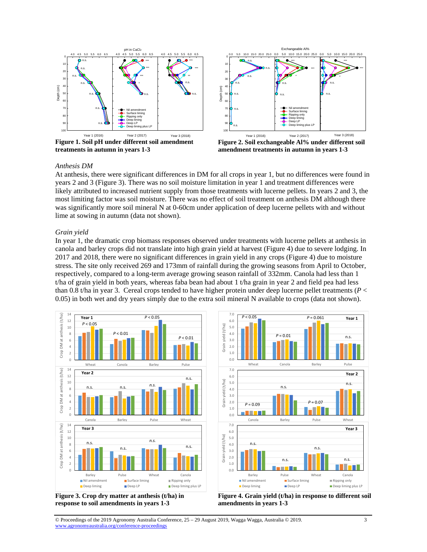

**Figure 1. Soil pH under different soil amendment treatments in autumn in years 1-3** 



**Figure 2. Soil exchangeable Al% under different soil amendment treatments in autumn in years 1-3** 

#### *Anthesis DM*

At anthesis, there were significant differences in DM for all crops in year 1, but no differences were found in years 2 and 3 (Figure 3). There was no soil moisture limitation in year 1 and treatment differences were likely attributed to increased nutrient supply from those treatments with lucerne pellets. In years 2 and 3, the most limiting factor was soil moisture. There was no effect of soil treatment on anthesis DM although there was significantly more soil mineral N at 0-60cm under application of deep lucerne pellets with and without lime at sowing in autumn (data not shown).

#### *Grain yield*

In year 1, the dramatic crop biomass responses observed under treatments with lucerne pellets at anthesis in canola and barley crops did not translate into high grain yield at harvest (Figure 4) due to severe lodging. In 2017 and 2018, there were no significant differences in grain yield in any crops (Figure 4) due to moisture stress. The site only received 269 and 173mm of rainfall during the growing seasons from April to October, respectively, compared to a long-term average growing season rainfall of 332mm. Canola had less than 1 t/ha of grain yield in both years, whereas faba bean had about 1 t/ha grain in year 2 and field pea had less than 0.8 t/ha in year 3. Cereal crops tended to have higher protein under deep lucerne pellet treatments (*P* < 0.05) in both wet and dry years simply due to the extra soil mineral N available to crops (data not shown).



**Figure 3. Crop dry matter at anthesis (t/ha) in response to soil amendments in years 1-3** 



**Figure 4. Grain yield (t/ha) in response to different soil amendments in years 1-3**